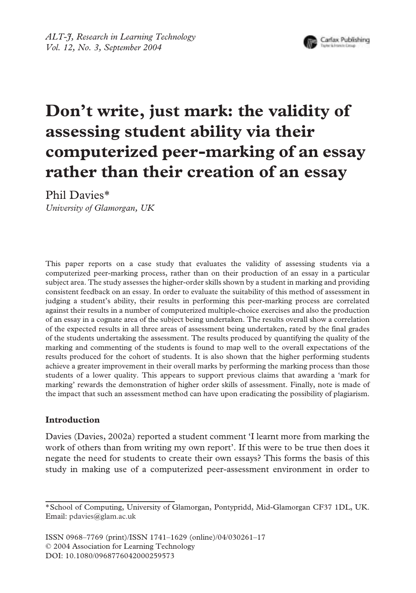

# **Don't write, just mark: the validity of assessing student ability via their computerized peer-marking of an essay rather than their creation of an essay**

Phil Davies\*

*University of Glamorgan, UK*

This paper reports on a case study that evaluates the validity of assessing students via a computerized peer-marking process, rather than on their production of an essay in a particular subject area. The study assesses the higher-order skills shown by a student in marking and providing consistent feedback on an essay. In order to evaluate the suitability of this method of assessment in judging a student's ability, their results in performing this peer-marking process are correlated against their results in a number of computerized multiple-choice exercises and also the production of an essay in a cognate area of the subject being undertaken. The results overall show a correlation of the expected results in all three areas of assessment being undertaken, rated by the final grades of the students undertaking the assessment. The results produced by quantifying the quality of the marking and commenting of the students is found to map well to the overall expectations of the results produced for the cohort of students. It is also shown that the higher performing students achieve a greater improvement in their overall marks by performing the marking process than those students of a lower quality. This appears to support previous claims that awarding a 'mark for marking' rewards the demonstration of higher order skills of assessment. Finally, note is made of the impact that such an assessment method can have upon eradicating the possibility of plagiarism.

# **Introduction**

Davies (Davies, 2002a) reported a student comment 'I learnt more from marking the work of others than from writing my own report'. If this were to be true then does it negate the need for students to create their own essays? This forms the basis of this study in making use of a computerized peer-assessment environment in order to

ISSN 0968–7769 (print)/ISSN 1741–1629 (online)/04/030261–17 © 2004 Association for Learning Technology DOI: 10.1080/0968776042000259573

<sup>\*</sup>School of Computing, University of Glamorgan, Pontypridd, Mid-Glamorgan CF37 1DL, UK. Email: pdavies@glam.ac.uk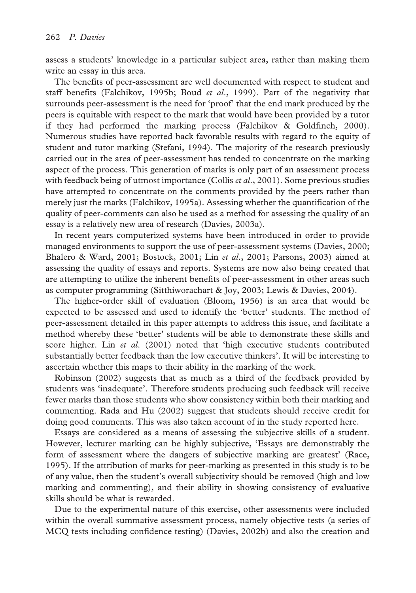assess a students' knowledge in a particular subject area, rather than making them write an essay in this area.

The benefits of peer-assessment are well documented with respect to student and staff benefits (Falchikov, 1995b; Boud *et al*., 1999). Part of the negativity that surrounds peer-assessment is the need for 'proof' that the end mark produced by the peers is equitable with respect to the mark that would have been provided by a tutor if they had performed the marking process (Falchikov & Goldfinch, 2000). Numerous studies have reported back favorable results with regard to the equity of student and tutor marking (Stefani, 1994). The majority of the research previously carried out in the area of peer-assessment has tended to concentrate on the marking aspect of the process. This generation of marks is only part of an assessment process with feedback being of utmost importance (Collis *et al*., 2001). Some previous studies have attempted to concentrate on the comments provided by the peers rather than merely just the marks (Falchikov, 1995a). Assessing whether the quantification of the quality of peer-comments can also be used as a method for assessing the quality of an essay is a relatively new area of research (Davies, 2003a).

In recent years computerized systems have been introduced in order to provide managed environments to support the use of peer-assessment systems (Davies, 2000; Bhalero & Ward, 2001; Bostock, 2001; Lin *et al*., 2001; Parsons, 2003) aimed at assessing the quality of essays and reports. Systems are now also being created that are attempting to utilize the inherent benefits of peer-assessment in other areas such as computer programming (Sitthiworachart & Joy, 2003; Lewis & Davies, 2004).

The higher-order skill of evaluation (Bloom, 1956) is an area that would be expected to be assessed and used to identify the 'better' students. The method of peer-assessment detailed in this paper attempts to address this issue, and facilitate a method whereby these 'better' students will be able to demonstrate these skills and score higher. Lin *et al*. (2001) noted that 'high executive students contributed substantially better feedback than the low executive thinkers'. It will be interesting to ascertain whether this maps to their ability in the marking of the work.

Robinson (2002) suggests that as much as a third of the feedback provided by students was 'inadequate'. Therefore students producing such feedback will receive fewer marks than those students who show consistency within both their marking and commenting. Rada and Hu (2002) suggest that students should receive credit for doing good comments. This was also taken account of in the study reported here.

Essays are considered as a means of assessing the subjective skills of a student. However, lecturer marking can be highly subjective, 'Essays are demonstrably the form of assessment where the dangers of subjective marking are greatest' (Race, 1995). If the attribution of marks for peer-marking as presented in this study is to be of any value, then the student's overall subjectivity should be removed (high and low marking and commenting), and their ability in showing consistency of evaluative skills should be what is rewarded.

Due to the experimental nature of this exercise, other assessments were included within the overall summative assessment process, namely objective tests (a series of MCQ tests including confidence testing) (Davies, 2002b) and also the creation and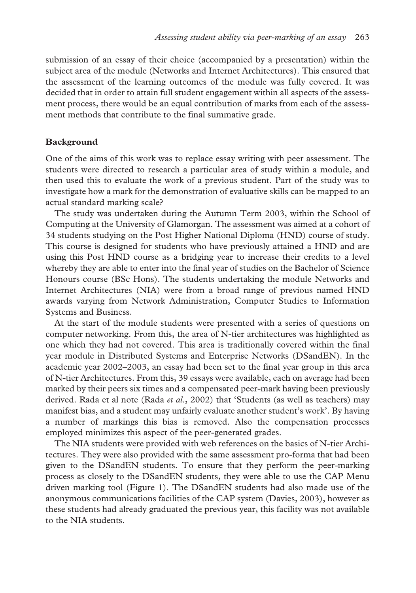submission of an essay of their choice (accompanied by a presentation) within the subject area of the module (Networks and Internet Architectures). This ensured that the assessment of the learning outcomes of the module was fully covered. It was decided that in order to attain full student engagement within all aspects of the assessment process, there would be an equal contribution of marks from each of the assessment methods that contribute to the final summative grade.

# **Background**

One of the aims of this work was to replace essay writing with peer assessment. The students were directed to research a particular area of study within a module, and then used this to evaluate the work of a previous student. Part of the study was to investigate how a mark for the demonstration of evaluative skills can be mapped to an actual standard marking scale?

The study was undertaken during the Autumn Term 2003, within the School of Computing at the University of Glamorgan. The assessment was aimed at a cohort of 34 students studying on the Post Higher National Diploma (HND) course of study. This course is designed for students who have previously attained a HND and are using this Post HND course as a bridging year to increase their credits to a level whereby they are able to enter into the final year of studies on the Bachelor of Science Honours course (BSc Hons). The students undertaking the module Networks and Internet Architectures (NIA) were from a broad range of previous named HND awards varying from Network Administration, Computer Studies to Information Systems and Business.

At the start of the module students were presented with a series of questions on computer networking. From this, the area of N-tier architectures was highlighted as one which they had not covered. This area is traditionally covered within the final year module in Distributed Systems and Enterprise Networks (DSandEN). In the academic year 2002–2003, an essay had been set to the final year group in this area of N-tier Architectures. From this, 39 essays were available, each on average had been marked by their peers six times and a compensated peer-mark having been previously derived. Rada et al note (Rada *et al*., 2002) that 'Students (as well as teachers) may manifest bias, and a student may unfairly evaluate another student's work'. By having a number of markings this bias is removed. Also the compensation processes employed minimizes this aspect of the peer-generated grades.

The NIA students were provided with web references on the basics of N-tier Architectures. They were also provided with the same assessment pro-forma that had been given to the DSandEN students. To ensure that they perform the peer-marking process as closely to the DSandEN students, they were able to use the CAP Menu driven marking tool (Figure 1). The DSandEN students had also made use of the anonymous communications facilities of the CAP system (Davies, 2003), however as these students had already graduated the previous year, this facility was not available to the NIA students.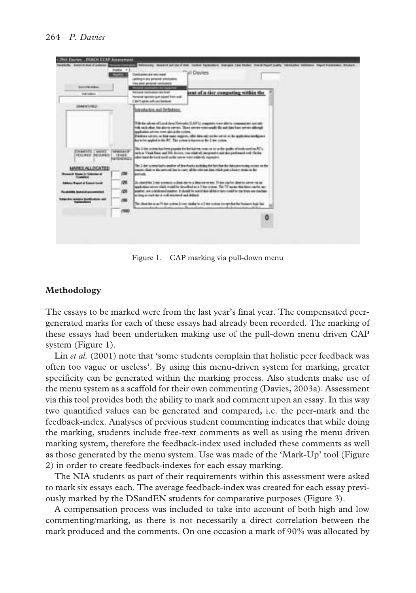| <b>Service Address</b>                          | <b>Right</b> 4<br><b>Reported</b> A           | Configurate are with input<br>(unling in any pattered continents)<br>trans point personal constrainers.<br>of Contractors and the | uil Davies                                                                                                                                                                                                                                                                           |   |
|-------------------------------------------------|-----------------------------------------------|-----------------------------------------------------------------------------------------------------------------------------------|--------------------------------------------------------------------------------------------------------------------------------------------------------------------------------------------------------------------------------------------------------------------------------------|---|
| <b><i>USA Address</i></b>                       |                                               | Westpated Junctionships Application<br>Heraunal santasie gut niceal from well<br>I them up as with residential                    | bent of n-tier computing within the                                                                                                                                                                                                                                                  |   |
| 1944/47-782                                     |                                               | <b>Introduction and Deflutions</b>                                                                                                |                                                                                                                                                                                                                                                                                      |   |
|                                                 |                                               | profitation prices tone show the strike.<br>ho to be appled to the PC. This content is harmonic the 2 dee commo-                  | With the submit of Constitutes Networks (LAWA) compilers to not allow to comparative, and only<br>The control of the classic parties. These conveniences and the and that have never allowed<br>Danker sever, as for same eigene, afte dass sitt to de seve as de aptionischedigen i |   |
| <b>EXAMPLES, CANCER</b><br><b>NUMBER PERMIT</b> | <b><i>HALLAST</i></b><br>121003<br>REMINISTER | sites had the took well as the seven ware related a particle.                                                                     | This 2 does a street has form propriet for the last ten years of tot on the quality of hands used on PC's.<br>what Tour Tour Tour is the research in debt on a resolution and the contract of the                                                                                    |   |
| MARKS ALLOCATED                                 |                                               |                                                                                                                                   | The 3-dee names had a senior of developing mainling the face that the data processing society on the                                                                                                                                                                                 |   |
| of Nissan is Entertain of<br><b>London</b>      | 730                                           |                                                                                                                                   | and as since you do not done to be the series of the year of the year above to the series                                                                                                                                                                                            |   |
| but it would at Exposit Count                   | 120                                           |                                                                                                                                   | As monthle 3 are some to a don new a department of N aim such shorts sever to as<br>galiation art or shield modifier deceded at a 7-for states. The 7-f assumption can be any                                                                                                        |   |
| Foundation incorporation accommodated           | 729                                           | brailed fax book to a trad market and delays in                                                                                   | prestige, not a AGE-staff master. It should be poted that all there are notable for the firms one machine.                                                                                                                                                                           |   |
| announce Boondardsons and                       | (50)                                          |                                                                                                                                   | The climation is an 10 day or dead in your similar to a 3 day or dear except that the business legislate.<br>$-$<br>And a financial stress of their                                                                                                                                  |   |
|                                                 | 1700                                          |                                                                                                                                   |                                                                                                                                                                                                                                                                                      | o |
|                                                 |                                               |                                                                                                                                   |                                                                                                                                                                                                                                                                                      |   |

Figure 1. CAP marking via pull-down menu

# **Methodology**

The essays to be marked were from the last year's final year. The compensated peergenerated marks for each of these essays had already been recorded. The marking of these essays had been undertaken making use of the pull-down menu driven CAP system (Figure 1).

Lin *et al.* (2001) note that 'some students complain that holistic peer feedback was often too vague or useless'. By using this menu-driven system for marking, greater specificity can be generated within the marking process. Also students make use of the menu system as a scaffold for their own commenting (Davies, 2003a). Assessment via this tool provides both the ability to mark and comment upon an essay. In this way two quantified values can be generated and compared, i.e. the peer-mark and the feedback-index. Analyses of previous student commenting indicates that while doing the marking, students include free-text comments as well as using the menu driven marking system, therefore the feedback-index used included these comments as well as those generated by the menu system. Use was made of the 'Mark-Up' tool (Figure 2) in order to create feedback-indexes for each essay marking.

The NIA students as part of their requirements within this assessment were asked to mark six essays each. The average feedback-index was created for each essay previously marked by the DSandEN students for comparative purposes (Figure 3).

A compensation process was included to take into account of both high and low commenting/marking, as there is not necessarily a direct correlation between the mark produced and the comments. On one occasion a mark of 90% was allocated by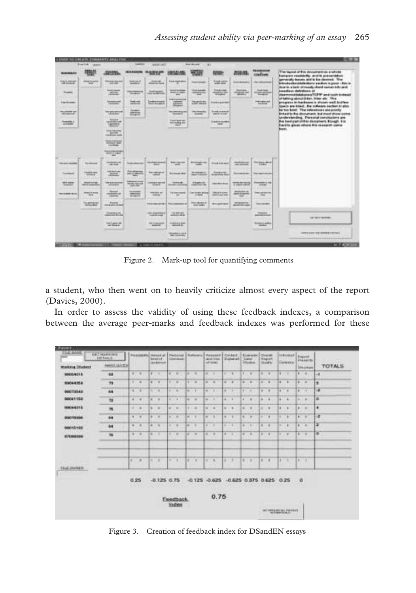| <b>BURNING AT 1</b>               | 电炉                                    | SECTION.                                | <b>MILABARING</b>                                                     | 10000                                       | 9730145                                               | will                                       | <b><i><u>ROOM</u></i></b>                                 | 加田川                                 | moment                                                | The tayout of this document as a whole<br>Transports resolutedly, and its presidents                                                         |
|-----------------------------------|---------------------------------------|-----------------------------------------|-----------------------------------------------------------------------|---------------------------------------------|-------------------------------------------------------|--------------------------------------------|-----------------------------------------------------------|-------------------------------------|-------------------------------------------------------|----------------------------------------------------------------------------------------------------------------------------------------------|
| <b>SEARCH</b>                     | <b>Great of Labor</b><br><b>Wall</b>  | Government Art<br><b>SILINE</b>         | <b>keep parts</b><br>and states                                       | <b>Good cap</b><br><b>Britannia</b> State   | <b>South August Ment</b>                              | <b>September</b>                           | <b>SMILE</b>                                              | <b>Street Hermann</b>               | <b>High relationship</b>                              | generately business and by the develop . This<br>Introduction/clarks/form section is poor - this is                                          |
| <b>Super</b>                      |                                       | '岩面                                     | <b>CONTRACTOR</b><br><b>Bookley</b>                                   | <b>CONTRACTOR</b><br><b>HEARTH</b>          | <b>Auction</b>                                        | cannot be died.                            | 200706<br><b>Simplest</b>                                 | <b>Scannibal</b><br>people and<br>- | <b>Gallery</b><br><b>BY OF HIGH</b><br><b>Single-</b> | thus to a bask of reasty chard cancer tots and<br><b>Installate delivings of</b><br>Insertional chain three "IFETY and statement of          |
| <b>Find Accounts</b>              |                                       | <b>Environment</b><br><b>COMMERCIAL</b> | $24 -$                                                                | <b>Excess counts</b><br><b>SALE PACKING</b> | <b>Sabianized</b><br>面面<br>--                         | <b>Carrietta</b>                           | <b>Electric political</b>                                 |                                     | <b>Tallet</b>                                         | or taking about it has, fires als: The<br>prices in hardway is shown well building<br>ligants and listed: the screene sacron to also         |
| the country cod<br><b>JENNING</b> |                                       | "USD"                                   | 墨                                                                     |                                             | the statements are<br><b>Distance</b>                 | <b>Hormond</b><br><b>Hotel Co</b>          | <b><i><u>Stand occupation</u></i></b><br><b>VARY STAR</b> |                                     |                                                       | by too brief. The references and pointly<br>Bridault to this dicesumant, but most show scimal                                                |
| <b>STEEP</b>                      |                                       | W.                                      |                                                                       |                                             | <b>FIRST AVE ALL</b><br><b>Anti-Holling Kint</b><br>- |                                            | <b>Internet</b>                                           |                                     |                                                       | <b>Anderstevilleg, Personal exnolutions are</b><br>the best part of this discontent though. It is<br>Fued to ginan where this research came. |
|                                   |                                       | <b>THE</b>                              |                                                                       |                                             | $\sim$                                                |                                            |                                                           |                                     |                                                       | <b>Brazil</b>                                                                                                                                |
|                                   |                                       | <b>TOO</b>                              |                                                                       |                                             |                                                       |                                            |                                                           |                                     |                                                       |                                                                                                                                              |
|                                   |                                       | <b>SCOTT CAR</b><br>-                   |                                                                       |                                             |                                                       |                                            |                                                           |                                     |                                                       |                                                                                                                                              |
| <b>TRUSH FERRY</b>                | to move                               | -------<br>on the                       | <b>The America</b>                                                    | <b>THE AMERICANS</b><br><b>STATE</b>        | <b>Business cannot</b>                                |                                            | <b>Steel Lide model</b>                                   |                                     | the page plant.                                       |                                                                                                                                              |
| <b>Toy PRINT</b>                  | <b>CARD BY HORN</b><br><b>Table 1</b> | 罩                                       | <b>Witness</b>                                                        | <b>THEFT</b>                                | <b><i><u>International</u></i></b>                    | <b>Microsoft Ave.</b><br><b>CONTRACTOR</b> | <b>STATISTICS</b>                                         |                                     | Restaurance:   For get series                         |                                                                                                                                              |
| <b>MARKET</b>                     | <b>ATLANT</b>                         | <b>PERSON</b>                           | <b><i><u>START CONTRACTORY COMPANY</u></i></b><br><b>MUSE FOL KIR</b> | 18번호도 연기자                                   | <b>Industrial</b><br><b>Denver Anna</b>               | <b>AUSTER</b>                              | personal color                                            | TOMOTOR'S                           | <b>Inventor</b> List<br><b>SHOW:</b>                  |                                                                                                                                              |
| <b>INFORMER BY BY</b>             | <b>PERSONAL</b>                       | ÷                                       | 西                                                                     | <b>WHEN BELL WAY</b><br><b>Service</b>      | THE EXPERIMENT<br>ш                                   | <b>Car I Barbara</b>                       | 高な物                                                       | part experts                        | <b>THEY SECRETERS</b>                                 |                                                                                                                                              |
|                                   | <b>SANCE</b>                          | $-200$                                  |                                                                       |                                             | free-monthly free-painting of                         | <b>TEXTING</b>                             | No agreement?                                             | 220724                              | <b>Detroited</b>                                      |                                                                                                                                              |
|                                   |                                       | Janesro.                                |                                                                       | TUDETER                                     | Jamm.                                                 |                                            |                                                           |                                     | <b>STATISTICS</b>                                     | <b>LET BOY GARDEN</b>                                                                                                                        |
|                                   |                                       | <b>SHOW</b>                             |                                                                       | (not in generated)<br><b>ALCOHOL</b>        | <b><i>SHEETER</i></b>                                 |                                            |                                                           |                                     | <b>STATE OF</b>                                       |                                                                                                                                              |
|                                   |                                       |                                         |                                                                       |                                             | <b>Monday or got \$</b>                               |                                            |                                                           |                                     | --                                                    | <b>WITCHING THE TOWART STOLEN.</b>                                                                                                           |

Figure 2. Mark-up tool for quantifying comments

a student, who then went on to heavily criticize almost every aspect of the report (Davies, 2000).

In order to assess the validity of using these feedback indexes, a comparison between the average peer-marks and feedback indexes was performed for these

| <b>FILE NAME</b><br>تسد               | <b>GETHERWING</b><br><b>THITAKEE</b> |                  | Frebridge Americal Philosoph Before Chairman Christer |              | <b>Bondard R</b><br><b>Joseph Lee</b>                       | Civickia             |          |                               |       | and Line<br>of work |                | Eightrat       |            | Engineering<br>Cane:<br><b>TEURES</b>                                                                                                  |         | <b>E</b> Chevrolet<br>Reput<br><b>Hiladelph</b> |         | <b>Lidmond</b><br>I sold else |                | <b>Francott</b>   | <b>FRAMERS IN COLUMN</b> |
|---------------------------------------|--------------------------------------|------------------|-------------------------------------------------------|--------------|-------------------------------------------------------------|----------------------|----------|-------------------------------|-------|---------------------|----------------|----------------|------------|----------------------------------------------------------------------------------------------------------------------------------------|---------|-------------------------------------------------|---------|-------------------------------|----------------|-------------------|--------------------------|
| <b>Markets Shakest</b>                | <b>HARA GACK</b>                     |                  |                                                       |              |                                                             |                      |          |                               |       |                     |                |                |            |                                                                                                                                        |         |                                                 |         |                               |                | <b>Distantant</b> | TOTALS                   |
| 8505,5315                             | 58                                   |                  | $n - n$                                               | 11           |                                                             | <b>H. H.</b>         |          | $-$                           |       | $m \rightarrow n$   |                | 1 <sup>1</sup> | $1 - 1$    |                                                                                                                                        |         | $+ -$                                           |         | $11 - 11$                     |                | $8 - 8$           | $-8$                     |
| 00044358                              | n                                    |                  | $1 - 1$                                               |              | <b>B</b> 1 8                                                | 1                    |          | $1 - 1$                       |       | 8.18                |                | $-1$           |            | $-1$                                                                                                                                   |         | 8.18                                            |         | 87.8                          |                | $1 - 10$          | ٠                        |
| <b>BROTHLAS</b>                       | m<br>44                              |                  | $4 - 3$                                               |              | . .                                                         | $1 - 1$              |          | 46.12                         |       | $46 - 1$            |                | $4 - 1$        |            | 1                                                                                                                                      |         | $4 - 1$                                         | $8 - 8$ |                               |                | (11)              | œ                        |
| 98041108                              | 互                                    |                  | $A = 0$                                               | 4. 4.        |                                                             | <b>A </b>            | $14 - 4$ |                               |       | $\cdots$            |                | $-11 - 12$     |            | $4 - 4$                                                                                                                                | $4 - 4$ |                                                 |         | $4 - 4$                       |                | 1.14              | io.                      |
| 100044215                             | m.                                   |                  | 4718                                                  |              | $+ - +$                                                     | <b>HE 2015</b>       |          | $-1$                          |       | $n - n$             |                | $8 - 6$        | $+1$       | - 4                                                                                                                                    |         | $4 - 4$                                         | $4 - 6$ |                               |                | $1 - 10$          | ٠                        |
| 00070936                              | <b>HUMAN</b><br>64                   |                  | 8.18                                                  | 8 8          |                                                             | <b>B . B</b>         |          | 新川市                           |       | 87.8                | $\blacksquare$ | ٠              |            | $8 - 8$                                                                                                                                |         |                                                 | ٠       | ×                             | $\blacksquare$ | ×                 | œ                        |
| 880107100                             | 44                                   |                  | 8.14.                                                 | <b>B 3 B</b> |                                                             | <b>B. T. B.</b>      |          | 8.12                          | 10 11 |                     | 81118          |                |            | $4 - 1$                                                                                                                                | a.      | $\cdots$                                        |         | $\sim$                        |                | $8 - 8$           | z                        |
| 197000005                             | $\overline{\phantom{a}}$             |                  | $-1$                                                  | $+$ $+$      |                                                             | $Y = W$              |          | $-$                           | $-$   |                     | $47 - 12$      |                |            | $9 - 9$                                                                                                                                | $-$     |                                                 | w.      | - 4                           |                | $\cdots$          | w                        |
| <b>THE REPORT OF STATE</b>            |                                      | w                | $\overline{a}$                                        | 8.78         |                                                             | <b>E RT</b>          | $10 - 3$ |                               |       | $4 - 8$             |                | $1 - 1$        | <b>RTR</b> |                                                                                                                                        | $-1$    |                                                 |         | 3 3 3                         | 141            | $\mathbf{r}$      |                          |
| <b>START START</b><br>distant and the |                                      | 0.25<br>$1 - 74$ |                                                       |              | $-0.125$ $0.75$<br>A THE THE R. P. LEWIS CO., LANSING MICH. |                      |          | 0.129 0.625 0.625 0.375 0.625 |       |                     |                |                |            | <b>All Card Card</b><br>The summer will be a strong to the second that the second state of the second state of the second state of the |         |                                                 |         | 0.25                          | $\circ$        |                   |                          |
|                                       |                                      |                  |                                                       |              |                                                             | Feedback.<br>triutes |          |                               |       | 0.75                |                |                |            |                                                                                                                                        |         |                                                 |         | del Ingolds de Jelenia        |                |                   |                          |

Figure 3. Creation of feedback index for DSandEN essays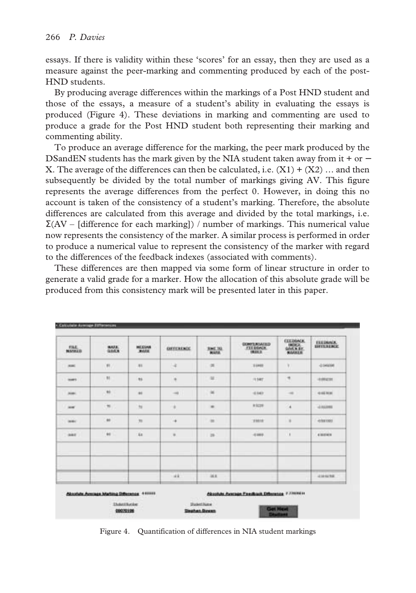essays. If there is validity within these 'scores' for an essay, then they are used as a measure against the peer-marking and commenting produced by each of the post-HND students.

By producing average differences within the markings of a Post HND student and those of the essays, a measure of a student's ability in evaluating the essays is produced (Figure 4). These deviations in marking and commenting are used to produce a grade for the Post HND student both representing their marking and commenting ability.

To produce an average difference for the marking, the peer mark produced by the DSandEN students has the mark given by the NIA student taken away from it + or − X. The average of the differences can then be calculated, i.e.  $(X1) + (X2)$  ... and then subsequently be divided by the total number of markings giving AV. This figure represents the average differences from the perfect 0. However, in doing this no account is taken of the consistency of a student's marking. Therefore, the absolute differences are calculated from this average and divided by the total markings, i.e.  $\Sigma(AV - [difference for each marking])$  / number of markings. This numerical value now represents the consistency of the marker. A similar process is performed in order to produce a numerical value to represent the consistency of the marker with regard to the differences of the feedback indexes (associated with comments).

These differences are then mapped via some form of linear structure in order to generate a valid grade for a marker. How the allocation of this absolute grade will be produced from this consistency mark will be presented later in this paper.

| <b>FILE</b><br><b>MAYMED</b> | <b>HALL</b><br><b>GOLD</b>                                              | MEDIAN<br><b>MARK</b> | <b>GEFERING</b><br><b>TAXABLE</b> | <b>CONTRACTOR</b><br>3ML3U<br><b>MARA</b> | <b>COMPERIMENTS</b><br><b>FEEDINGK</b><br>19,632,31 | <b>EXEQUALE</b><br><b>INDEX</b><br>GOVE & Bit<br>MARKER | <b>EXECUTIVE</b><br><b>ISTTERIMENT</b> |
|------------------------------|-------------------------------------------------------------------------|-----------------------|-----------------------------------|-------------------------------------------|-----------------------------------------------------|---------------------------------------------------------|----------------------------------------|
| <b>ASK</b>                   | W.                                                                      | 111                   | ×                                 | ×                                         | 11441                                               | ¥                                                       | -2104 Miles                            |
| <b>SHAFT</b>                 | $\mathbb{H}$                                                            | m                     | ٠                                 | 址                                         | 11547                                               | $\rightarrow$                                           | -10092701                              |
| AGE:                         | <b>ME</b>                                                               | <b>as</b>             | $\rightarrow$                     | ×                                         | $-0.040$                                            | $-$                                                     | 1014 5414                              |
| <b>Hotel</b>                 | $\infty$                                                                | $\pm i$               | ×                                 | ×                                         | 8 5279                                              | ٠                                                       | $-0.0163888$                           |
| mer.                         | $\overline{a}$                                                          | $\overline{1}$        | ٠                                 | ×                                         | 19818                                               | ٠                                                       | 49,841003                              |
| <b>ARE</b>                   | $+1$                                                                    | X4                    | $\frac{1}{2}$                     | 16                                        | 4.888                                               | $\cdots$                                                | <b>A MOTHER</b>                        |
|                              |                                                                         |                       | $-4k$                             | ics.                                      |                                                     |                                                         | <b>JUNIOR</b>                          |
|                              | <b>Chastule Avenues Marking Difference 4 60000</b><br><b>Intelligie</b> |                       |                                   | <b>Shadwet-Natch</b>                      | Chapitals Avenues Freedback Etherance 7.7mm (e)     |                                                         |                                        |

Figure 4. Quantification of differences in NIA student markings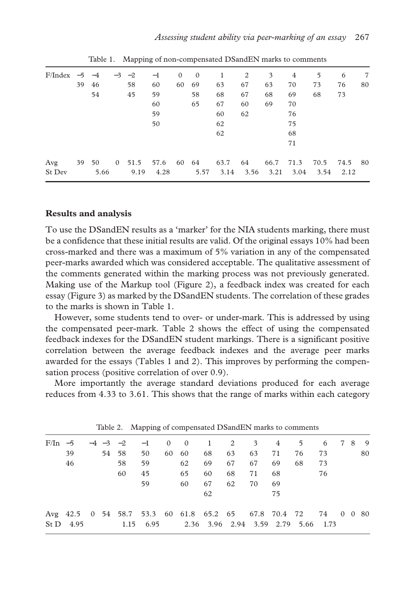| $F/Index$ -5 -4 |    |               | $-3$ $-2$       | $-1$         | $\mathbf{0}$ | $\theta$      | 1            | 2          | 3            | 4            | 5            | 6               | 7  |
|-----------------|----|---------------|-----------------|--------------|--------------|---------------|--------------|------------|--------------|--------------|--------------|-----------------|----|
|                 | 39 | 46            | 58              | 60           | 60           | 69            | 63           | 67         | 63           | 70           | 73           | 76              | 80 |
|                 |    | 54            | 45              | 59           |              | 58            | 68           | 67         | 68           | 69           | 68           | 73              |    |
|                 |    |               |                 | 60           |              | 65            | 67           | 60         | 69           | 70           |              |                 |    |
|                 |    |               |                 | 59           |              |               | 60           | 62         |              | 76           |              |                 |    |
|                 |    |               |                 | 50           |              |               | 62           |            |              | 75           |              |                 |    |
|                 |    |               |                 |              |              |               | 62           |            |              | 68           |              |                 |    |
|                 |    |               |                 |              |              |               |              |            |              | 71           |              |                 |    |
| Avg<br>St Dev   |    | 39 50<br>5.66 | 0, 51.5<br>9.19 | 57.6<br>4.28 |              | 60 64<br>5.57 | 63.7<br>3.14 | 64<br>3.56 | 66.7<br>3.21 | 71.3<br>3.04 | 70.5<br>3.54 | 74.5 80<br>2.12 |    |
|                 |    |               |                 |              |              |               |              |            |              |              |              |                 |    |

Table 1. Mapping of non-compensated DSandEN marks to comments

#### **Results and analysis**

To use the DSandEN results as a 'marker' for the NIA students marking, there must be a confidence that these initial results are valid. Of the original essays 10% had been cross-marked and there was a maximum of 5% variation in any of the compensated peer-marks awarded which was considered acceptable. The qualitative assessment of the comments generated within the marking process was not previously generated. Making use of the Markup tool (Figure 2), a feedback index was created for each essay (Figure 3) as marked by the DSandEN students. The correlation of these grades to the marks is shown in Table 1.

However, some students tend to over- or under-mark. This is addressed by using the compensated peer-mark. Table 2 shows the effect of using the compensated feedback indexes for the DSandEN student markings. There is a significant positive correlation between the average feedback indexes and the average peer marks awarded for the essays (Tables 1 and 2). This improves by performing the compensation process (positive correlation of over 0.9).

More importantly the average standard deviations produced for each average reduces from 4.33 to 3.61. This shows that the range of marks within each category

| $F/In -5$ |           |  |       |                   | $-4$ $-3$ $-2$ $-1$ 0 0 1 2 3 4 5                              |    |    |    |    |                                    | 6  | 789 |    |
|-----------|-----------|--|-------|-------------------|----------------------------------------------------------------|----|----|----|----|------------------------------------|----|-----|----|
|           | 39        |  | 54 58 | 50                | 60 60                                                          | 68 | 63 | 63 | 71 | 76                                 | 73 |     | 80 |
|           | 46        |  | 58    | 59                | 62                                                             | 69 | 67 | 67 | 69 | 68                                 | 73 |     |    |
|           |           |  | 60    | 45                | 65                                                             | 60 | 68 | 71 | 68 |                                    | 76 |     |    |
|           |           |  |       | 59                | 60                                                             | 67 | 62 | 70 | 69 |                                    |    |     |    |
|           |           |  |       |                   |                                                                | 62 |    |    | 75 |                                    |    |     |    |
|           |           |  |       |                   | Avg 42.5 0 54 58.7 53.3 60 61.8 65.2 65 67.8 70.4 72 74 0 0 80 |    |    |    |    |                                    |    |     |    |
|           | St D 4.95 |  |       | $1.15 \quad 6.95$ |                                                                |    |    |    |    | 2.36 3.96 2.94 3.59 2.79 5.66 1.73 |    |     |    |
|           |           |  |       |                   |                                                                |    |    |    |    |                                    |    |     |    |

Table 2. Mapping of compensated DSandEN marks to comments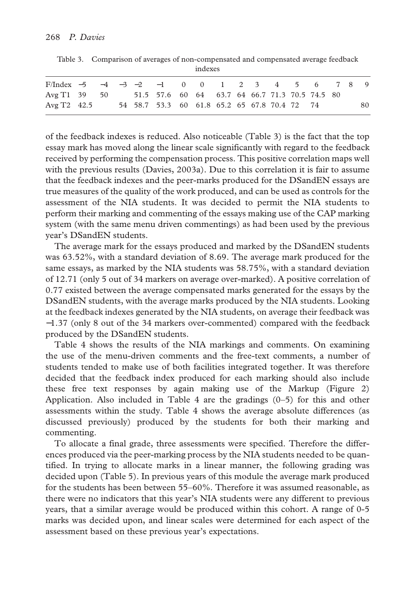|                                                             |  |  |                                              | indexes |  |  |  |  |    |
|-------------------------------------------------------------|--|--|----------------------------------------------|---------|--|--|--|--|----|
| F/Index -5 -4 -3 -2 -1 0 0 1 2 3 4 5 6 7 8 9                |  |  |                                              |         |  |  |  |  |    |
| Avg T1 39 50 51.5 57.6 60 64 63.7 64 66.7 71.3 70.5 74.5 80 |  |  |                                              |         |  |  |  |  |    |
| Avg T2 42.5                                                 |  |  | 54 58.7 53.3 60 61.8 65.2 65 67.8 70.4 72 74 |         |  |  |  |  | 80 |

Table 3. Comparison of averages of non-compensated and compensated average feedback

of the feedback indexes is reduced. Also noticeable (Table 3) is the fact that the top essay mark has moved along the linear scale significantly with regard to the feedback received by performing the compensation process. This positive correlation maps well with the previous results (Davies, 2003a). Due to this correlation it is fair to assume that the feedback indexes and the peer-marks produced for the DSandEN essays are true measures of the quality of the work produced, and can be used as controls for the assessment of the NIA students. It was decided to permit the NIA students to perform their marking and commenting of the essays making use of the CAP marking system (with the same menu driven commentings) as had been used by the previous year's DSandEN students.

The average mark for the essays produced and marked by the DSandEN students was 63.52%, with a standard deviation of 8.69. The average mark produced for the same essays, as marked by the NIA students was 58.75%, with a standard deviation of 12.71 (only 5 out of 34 markers on average over-marked). A positive correlation of 0.77 existed between the average compensated marks generated for the essays by the DSandEN students, with the average marks produced by the NIA students. Looking at the feedback indexes generated by the NIA students, on average their feedback was −1.37 (only 8 out of the 34 markers over-commented) compared with the feedback produced by the DSandEN students.

Table 4 shows the results of the NIA markings and comments. On examining the use of the menu-driven comments and the free-text comments, a number of students tended to make use of both facilities integrated together. It was therefore decided that the feedback index produced for each marking should also include these free text responses by again making use of the Markup (Figure 2) Application. Also included in Table 4 are the gradings  $(0-5)$  for this and other assessments within the study. Table 4 shows the average absolute differences (as discussed previously) produced by the students for both their marking and commenting.

To allocate a final grade, three assessments were specified. Therefore the differences produced via the peer-marking process by the NIA students needed to be quantified. In trying to allocate marks in a linear manner, the following grading was decided upon (Table 5). In previous years of this module the average mark produced for the students has been between 55–60%. Therefore it was assumed reasonable, as there were no indicators that this year's NIA students were any different to previous years, that a similar average would be produced within this cohort. A range of 0-5 marks was decided upon, and linear scales were determined for each aspect of the assessment based on these previous year's expectations.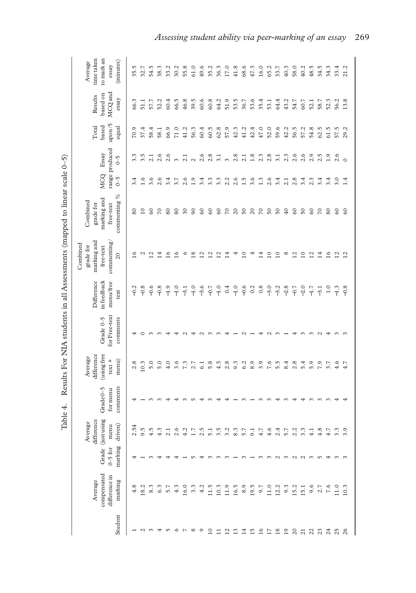| í<br>١                |
|-----------------------|
|                       |
|                       |
| i                     |
|                       |
| ֚֘֒                   |
| $\sim$ and $\sim$     |
|                       |
| $\ddot{\phantom{a}}$  |
| Ì                     |
|                       |
|                       |
|                       |
| .<br>.<br>.<br>.<br>I |
| <br>É                 |

| time taken<br>to mark an<br>(minutes)<br>Average<br>essay                          | 35.5            | 32.7            | 54.5             | 38.3       | 33.2   | 30.2     | 55.8                     | 61.0          | 49.6                    | 35.2                    | 36.3                     | 17.0       | 41.8           | 68.6             | 47.3     | 16.0            | 65.2      | 33.7            | 40.3       | 58.0           | 40.2              | 48.5           | 34.5         | 34.3         | 33.4           | 21.2           |
|------------------------------------------------------------------------------------|-----------------|-----------------|------------------|------------|--------|----------|--------------------------|---------------|-------------------------|-------------------------|--------------------------|------------|----------------|------------------|----------|-----------------|-----------|-----------------|------------|----------------|-------------------|----------------|--------------|--------------|----------------|----------------|
| MCQ and<br>based on<br>Results<br>essay                                            | 66.3            | 51.1            | 57.7             | 52.2       | 60.4   | 66.5     | 46.8                     | 39.5          | 60.6                    | 60.8                    | 64.2                     | 51.9       | 53.5           | 36.7             | 53.6     | 35.4            | 53.1      | 64.4            | 43.2       | 54.7           | 60.7              | 52.1           | 58.7         | 52.3         | 56.2           | 13.8           |
| upon/5<br>based<br>Total<br>equal                                                  | 70.9            | 37.4            | 58.4             | 58.1       | 66.9   | 71.0     | 41.2                     | 56.3          | 60.4                    | 60.5                    | 62.8                     | 57.9       | 42.3           | 41.2             | 42.4     | 47.0            | 52.0      | 59.6            | 42.2       | 56.5           | 57.2              | 54.8           | 62.5         | 61.5         | 57.5           | 29.2           |
| range produced<br>Essay<br>$\sqrt{0}$                                              | 3.3             | 3.5             | 2.1              | 2.6        | 2.6    | $\omega$ | 2.1                      | $\mathcal{L}$ | 2.6                     | 2.8                     | 3.1                      | $\omega$   | 2.8            | 2.1              | 1.8      | 2.3             | 2.8       | 3.1             | 2.3        | 2.6            | 2.6               | 2.9            | 2.5          | 1.9          | 2.6            | $\circ$        |
| <b>MCQ</b><br>$\zeta$ -0                                                           | 3.4             | 1.6             | 3.6              | 2.6        | 3.4    | 3.7      | 2.6                      | 1.9           | 3.4                     | 3.3                     | 3.3                      | 2.2        | 2.6            | $1.\overline{5}$ | 3.6      | 1.3             | 2.6       | 3.4             | 2.1        | 2.8            | 3.4               | 2.3            | 3.4          | 3.4          | 3.0            | 1.4            |
| commenting $\%$<br>marking and<br>Combined<br>grade for<br>free-text               | 80              | $\overline{10}$ | $\infty$         | $\sqrt{2}$ | 80     | 80       | $\overline{\mathcal{E}}$ | $\infty$      | $\infty$                | $\infty$                | $\infty$                 | $\sqrt{2}$ | $\overline{c}$ | $50\,$           | $\Omega$ | $\overline{C}$  | $50\,$    | $\overline{50}$ | 40         | $\infty$       | $50\,$            | $\delta$       | $\sqrt{2}$   | 80           | $\delta$       | $\infty$       |
| marking and<br>commenting/<br>Combined<br>grade for<br>free-text<br>$\overline{c}$ | 16              | $\mathcal{C}$   | $\overline{c}$   | 4          | L      | $\circ$  |                          | $\infty$      | $\overline{\mathbf{c}}$ | $\overline{\mathbf{c}}$ | $\overline{\mathcal{C}}$ | ₹          |                | ≘                |          | ᅼ               | $\approx$ | $\overline{10}$ | $^{\circ}$ | $\overline{c}$ | $\overline{10}$   | $\overline{c}$ | $\vec{a}$    | $\mathbf{S}$ | 2              | $\overline{c}$ |
| Difference<br>in feedback<br>menu/free<br>text                                     | $-0.2$          | $-0.8$          | $-0.6$           | $-0.8$     | $-1.9$ | $-1.0$   | $-3.1$                   | $-1.0$        | $-3.6$                  | $-0.7$                  | $-1.0$                   | 0.4        | $-1.0$         | $-0.6$           | 0.2      | 0.8             | $-3.0$    | $-3.2$          | $-2.8$     | $-0.7$         | $-2.0$            | $-1.7$         | $-3.1$       | 1.0          | $-1.3$         | $-0.8$         |
| for Free-text<br>Grade 0-5<br>comments                                             |                 | ⊂               |                  |            |        |          |                          |               |                         |                         |                          |            |                |                  |          |                 |           |                 |            |                |                   |                |              |              |                |                |
| (using free<br>difference<br>Average<br>$m$ enu $)$<br>$text +$                    | 2.8             | 10.3            | 5.0              | 5.0        | 4.0    | 3.6      | 7.3                      | 7.2           | 6.1                     | 5.8                     | 4.5                      | 2.8        | 9.3            | 6.2              | 8.9      | 3.9             | 7.6       | 5.5             | 8.4        | 2.8            | 5.4               | 5.9            | 7.9          | 3.7          | 4.6            | 4.7            |
| comments<br>Grade <sub>0-5</sub><br>for menu                                       |                 |                 |                  |            |        |          |                          |               |                         |                         |                          |            |                |                  |          |                 |           |                 |            |                |                   |                |              |              |                |                |
| <i><b>Gustusing</b></i><br>difference<br>Average<br>driven)<br>menu                | $\overline{54}$ | 9.5             | $\sum_{i=1}^{n}$ | $\epsilon$ |        | $\circ$  | $\mathcal{L}$            | r             | S<br>$\mathcal{C}$      | 5                       |                          | 3          | $\infty$       | r                | σ        |                 |           |                 |            |                |                   |                | œ.           |              |                | ్<br>$\sim$    |
| marking<br>$0 - 5$ for<br>Grade                                                    |                 |                 |                  |            |        |          |                          | ι٢            |                         |                         |                          | $\sim$     |                |                  |          | $\sim$          | $\sim$    | $\mathcal{L}$   | $\sim$     | $\sim$         | $\omega$ $\omega$ |                | $\mathsf{L}$ | ⇥            | $\omega$       | $\sim$         |
| compensated<br>difference in<br>marking<br>Average                                 | 4.8             | 18.2            | 8.3              | 6.3        | 5.7    | 4.3      | 16.0                     | 3.3           | 4.2                     | 11.5                    | 10.3                     | 11.9       | 16.5           | 8.9              | 19.5     | 9.7             | 11.0      | 12.2            | 9.3        | 15.2           | 15.1              | 9.6            | 2.7          | 7.6          | 11.0           | 10.3           |
| Student                                                                            |                 | $\mathbf{\sim}$ | $\sim$           | ↤          | m      | $\circ$  | r                        | $^{\circ}$    | ◦                       | $\overline{10}$         | $\Box$                   | 12         |                | $\overline{14}$  | 15       | $\overline{16}$ | 17        | $^{18}$         | 19         | $\approx$      | $\frac{1}{2}$     |                | 23           |              | 24<br>25<br>26 |                |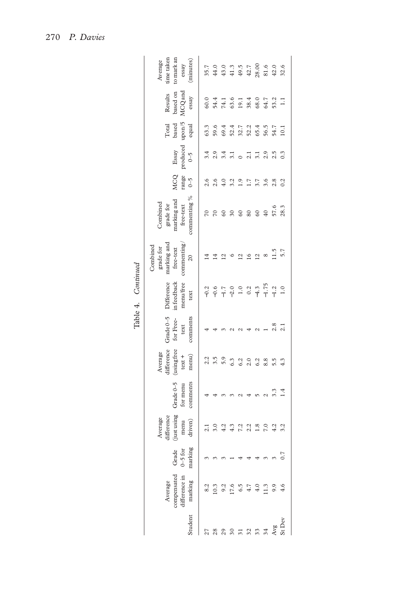|                  |                                                    |                                 |                                                                       |                                     |                                                           |                                              | Lable 4. Continued                                     |                                                                                   |                                                                   |                        |                                 |                                                             |                                         |                                                           |
|------------------|----------------------------------------------------|---------------------------------|-----------------------------------------------------------------------|-------------------------------------|-----------------------------------------------------------|----------------------------------------------|--------------------------------------------------------|-----------------------------------------------------------------------------------|-------------------------------------------------------------------|------------------------|---------------------------------|-------------------------------------------------------------|-----------------------------------------|-----------------------------------------------------------|
| Student          | compensated<br>difference in<br>marking<br>Average | marking<br>Grade<br>$0 - 5$ for | $\rm \acute{g}$ ust using<br>difference<br>Average<br>driven)<br>menu | Grade $0-5$<br>comments<br>for menu | difference<br>(using free<br>Average<br>menu)<br>$text +$ | Grade $0-5$<br>comments<br>for Free-<br>text | infeedback<br>Difference<br>menu/free<br>text          | commening/<br>marking and<br>Combined<br>grade for<br>free-text<br>$\overline{c}$ | commenting %<br>marking and<br>free-text<br>Combined<br>grade for | <b>MCQ</b><br>$r$ ange | produced $0\text{--}5$<br>Essay | $_{\rm based}^{\rm Total}$ based upon /5<br>equal           | MCQ and<br>based on<br>Results<br>essay | time taken<br>to mark an<br>(minutes)<br>Average<br>essay |
|                  |                                                    |                                 | 2.1                                                                   |                                     |                                                           |                                              |                                                        |                                                                                   | 70                                                                | 2.6                    | 3.4                             | 63.3                                                        | 60.0                                    |                                                           |
| $\frac{8}{2}$    | 10.3                                               |                                 | 3.0                                                                   |                                     |                                                           |                                              | $9.997$<br>$-1.7$                                      |                                                                                   |                                                                   | 2.6                    | 2.9                             | 59.6                                                        | 41614052311<br>44502884511              |                                                           |
|                  |                                                    |                                 | 4.2                                                                   |                                     |                                                           |                                              |                                                        |                                                                                   | 60                                                                | 4.0                    | $3.\overline{1}$                |                                                             |                                         |                                                           |
|                  | 17.6                                               |                                 | 4.3                                                                   |                                     | 6.3                                                       |                                              | $-2.0$                                                 |                                                                                   | 30                                                                | 3.2                    |                                 |                                                             |                                         |                                                           |
|                  | 6.5                                                |                                 | Ċ,                                                                    |                                     |                                                           |                                              |                                                        |                                                                                   | 60                                                                | $\overline{1.9}$       |                                 |                                                             |                                         |                                                           |
| 2                | 4.7                                                |                                 |                                                                       |                                     | 2.0                                                       |                                              |                                                        | $\tilde{=}$                                                                       | $rac{60}{60}$                                                     | 1.7                    | 2.1                             |                                                             |                                         |                                                           |
| $\tilde{\omega}$ | $4.0$                                              |                                 | $^{1.8}$                                                              |                                     | 6.2                                                       |                                              |                                                        | $\overline{12}$                                                                   |                                                                   | 3.7                    | 3.1                             |                                                             |                                         |                                                           |
| 34               | 1.3                                                |                                 | $7.0$<br>4.2                                                          |                                     | 8.8                                                       |                                              |                                                        | ${}^{\circ}$                                                                      |                                                                   | 3.6                    | 2.9                             |                                                             |                                         |                                                           |
| Avg              | 9.9                                                |                                 |                                                                       |                                     |                                                           |                                              | $1.0$<br>$0.2$<br>$-4.7$<br>$-1.75$<br>$-1.2$<br>$1.0$ | $11.5$<br>5.7                                                                     | 57.6<br>28.3                                                      | 2.8                    | 2.5                             | 4 4 1 - 0 4 5 6 7<br>6 0 0 0 0 0 0 4 6<br>6 0 0 0 0 0 0 0 0 |                                         |                                                           |
| <b>St</b> Dev    | 4.6                                                |                                 | 3.2                                                                   | 1.4                                 | 4.3                                                       |                                              |                                                        |                                                                                   |                                                                   | 0.2                    | 0.3                             |                                                             |                                         |                                                           |
|                  |                                                    |                                 |                                                                       |                                     |                                                           |                                              |                                                        |                                                                                   |                                                                   |                        |                                 |                                                             |                                         |                                                           |

| ĩ |
|---|
| ٠ |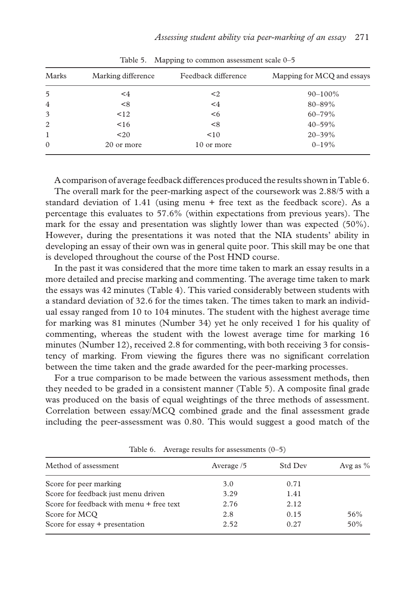| Marks          | Marking difference | Feedback difference | Mapping for MCQ and essays |
|----------------|--------------------|---------------------|----------------------------|
| 5              | $\leq 4$           | $\leq$ 2            | $90 - 100\%$               |
| $\overline{4}$ | < 8                | $\leq 4$            | 80-89%                     |
| 3              | $\leq$ 12          | $6$                 | $60 - 79\%$                |
| 2              | < 16               | < 8                 | $40 - 59%$                 |
| $\mathbf{1}$   | $20$               | < 10                | $20 - 39\%$                |
| $\Omega$       | 20 or more         | 10 or more          | $0 - 19\%$                 |

Table 5. Mapping to common assessment scale 0–5

A comparison of average feedback differences produced the results shown in Table 6.

The overall mark for the peer-marking aspect of the coursework was 2.88/5 with a standard deviation of 1.41 (using menu + free text as the feedback score). As a percentage this evaluates to 57.6% (within expectations from previous years). The mark for the essay and presentation was slightly lower than was expected (50%). However, during the presentations it was noted that the NIA students' ability in developing an essay of their own was in general quite poor. This skill may be one that is developed throughout the course of the Post HND course.

In the past it was considered that the more time taken to mark an essay results in a more detailed and precise marking and commenting. The average time taken to mark the essays was 42 minutes (Table 4). This varied considerably between students with a standard deviation of 32.6 for the times taken. The times taken to mark an individual essay ranged from 10 to 104 minutes. The student with the highest average time for marking was 81 minutes (Number 34) yet he only received 1 for his quality of commenting, whereas the student with the lowest average time for marking 16 minutes (Number 12), received 2.8 for commenting, with both receiving 3 for consistency of marking. From viewing the figures there was no significant correlation between the time taken and the grade awarded for the peer-marking processes.

For a true comparison to be made between the various assessment methods, then they needed to be graded in a consistent manner (Table 5). A composite final grade was produced on the basis of equal weightings of the three methods of assessment. Correlation between essay/MCQ combined grade and the final assessment grade including the peer-assessment was 0.80. This would suggest a good match of the

| Method of assessment                     | Average /5 | Std Dev | Avg as $%$ |  |
|------------------------------------------|------------|---------|------------|--|
| Score for peer marking                   | 3.0        | 0.71    |            |  |
| Score for feedback just menu driven      | 3.29       | 1.41    |            |  |
| Score for feedback with menu + free text | 2.76       | 2.12    |            |  |
| Score for MCO                            | 2.8        | 0.15    | 56%        |  |
| Score for $essay + presentation$         | 2.52       | 0.27    | 50%        |  |

Table 6. Average results for assessments (0–5)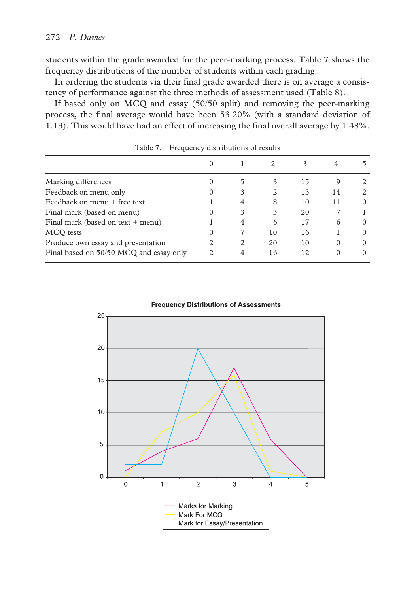students within the grade awarded for the peer-marking process. Table 7 shows the frequency distributions of the number of students within each grading.

In ordering the students via their final grade awarded there is on average a consistency of performance against the three methods of assessment used (Table 8).

If based only on MCQ and essay (50/50 split) and removing the peer-marking process, the final average would have been 53.20% (with a standard deviation of 1.13). This would have had an effect of increasing the final overall average by 1.48%.

|                                         | 0 |   | 2  | 3  |          |          |
|-----------------------------------------|---|---|----|----|----------|----------|
| Marking differences                     | O | 5 |    | 15 | 9        |          |
| Feedback on menu only                   | 0 | 3 | 2  | 13 | 14       |          |
| Feedback on menu + free text            |   | 4 | 8  | 10 | 11       | $\Omega$ |
| Final mark (based on menu)              | 0 | 3 | 3  | 20 |          |          |
| Final mark (based on text + menu)       |   | 4 | 6  | 17 | 6        | $\Omega$ |
| MCQ tests                               | 0 |   | 10 | 16 |          |          |
| Produce own essay and presentation      | 2 | 2 | 20 | 10 | $\Omega$ | $\Omega$ |
| Final based on 50/50 MCQ and essay only | 2 | 4 | 16 | 12 | $\Omega$ |          |

Table 7. Frequency distributions of results



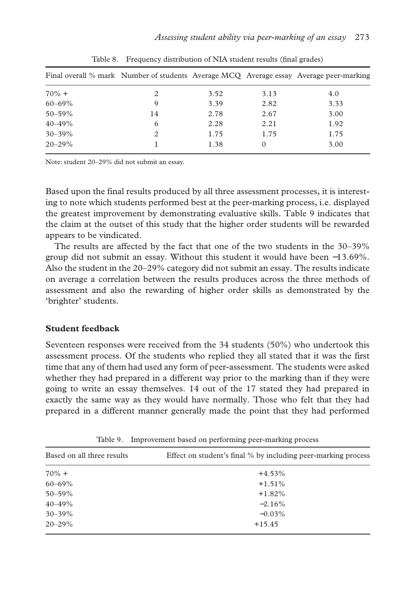|             |    |      |          | Final overall % mark Number of students Average MCQ Average essay Average peer-marking |
|-------------|----|------|----------|----------------------------------------------------------------------------------------|
| $70\% +$    |    | 3.52 | 3.13     | 4.0                                                                                    |
| $60 - 69\%$ | 9  | 3.39 | 2.82     | 3.33                                                                                   |
| $50 - 59\%$ | 14 | 2.78 | 2.67     | 3.00                                                                                   |
| $40 - 49\%$ | 6  | 2.28 | 2.21     | 1.92                                                                                   |
| $30 - 39\%$ |    | 1.75 | 1.75     | 1.75                                                                                   |
| $20 - 29\%$ |    | 1.38 | $\theta$ | 3.00                                                                                   |

Table 8. Frequency distribution of NIA student results (final grades)

Note: student 20–29% did not submit an essay.

Based upon the final results produced by all three assessment processes, it is interesting to note which students performed best at the peer-marking process, i.e. displayed the greatest improvement by demonstrating evaluative skills. Table 9 indicates that the claim at the outset of this study that the higher order students will be rewarded appears to be vindicated.

The results are affected by the fact that one of the two students in the 30–39% group did not submit an essay. Without this student it would have been −13.69%. Also the student in the 20–29% category did not submit an essay. The results indicate on average a correlation between the results produces across the three methods of assessment and also the rewarding of higher order skills as demonstrated by the 'brighter' students.

# **Student feedback**

Seventeen responses were received from the 34 students (50%) who undertook this assessment process. Of the students who replied they all stated that it was the first time that any of them had used any form of peer-assessment. The students were asked whether they had prepared in a different way prior to the marking than if they were going to write an essay themselves. 14 out of the 17 stated they had prepared in exactly the same way as they would have normally. Those who felt that they had prepared in a different manner generally made the point that they had performed

| Based on all three results | Effect on student's final % by including peer-marking process |
|----------------------------|---------------------------------------------------------------|
| $70\% +$                   | $+4.53%$                                                      |
| $60 - 69\%$                | $+1.51%$                                                      |
| $50 - 59\%$                | $+1.82%$                                                      |
| $40 - 49\%$                | $-2.16\%$                                                     |
| $30 - 39\%$                | $-0.03\%$                                                     |
| $20 - 29\%$                | $+15.45$                                                      |

Table 9. Improvement based on performing peer-marking process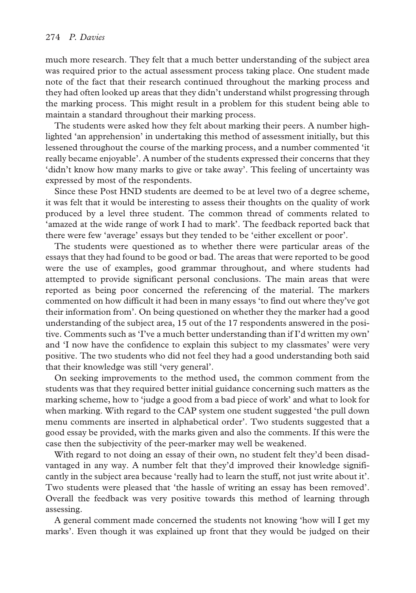much more research. They felt that a much better understanding of the subject area was required prior to the actual assessment process taking place. One student made note of the fact that their research continued throughout the marking process and they had often looked up areas that they didn't understand whilst progressing through the marking process. This might result in a problem for this student being able to maintain a standard throughout their marking process.

The students were asked how they felt about marking their peers. A number highlighted 'an apprehension' in undertaking this method of assessment initially, but this lessened throughout the course of the marking process, and a number commented 'it really became enjoyable'. A number of the students expressed their concerns that they 'didn't know how many marks to give or take away'. This feeling of uncertainty was expressed by most of the respondents.

Since these Post HND students are deemed to be at level two of a degree scheme, it was felt that it would be interesting to assess their thoughts on the quality of work produced by a level three student. The common thread of comments related to 'amazed at the wide range of work I had to mark'. The feedback reported back that there were few 'average' essays but they tended to be 'either excellent or poor'.

The students were questioned as to whether there were particular areas of the essays that they had found to be good or bad. The areas that were reported to be good were the use of examples, good grammar throughout, and where students had attempted to provide significant personal conclusions. The main areas that were reported as being poor concerned the referencing of the material. The markers commented on how difficult it had been in many essays 'to find out where they've got their information from'. On being questioned on whether they the marker had a good understanding of the subject area, 15 out of the 17 respondents answered in the positive. Comments such as 'I've a much better understanding than if I'd written my own' and 'I now have the confidence to explain this subject to my classmates' were very positive. The two students who did not feel they had a good understanding both said that their knowledge was still 'very general'.

On seeking improvements to the method used, the common comment from the students was that they required better initial guidance concerning such matters as the marking scheme, how to 'judge a good from a bad piece of work' and what to look for when marking. With regard to the CAP system one student suggested 'the pull down menu comments are inserted in alphabetical order'. Two students suggested that a good essay be provided, with the marks given and also the comments. If this were the case then the subjectivity of the peer-marker may well be weakened.

With regard to not doing an essay of their own, no student felt they'd been disadvantaged in any way. A number felt that they'd improved their knowledge significantly in the subject area because 'really had to learn the stuff, not just write about it'. Two students were pleased that 'the hassle of writing an essay has been removed'. Overall the feedback was very positive towards this method of learning through assessing.

A general comment made concerned the students not knowing 'how will I get my marks'. Even though it was explained up front that they would be judged on their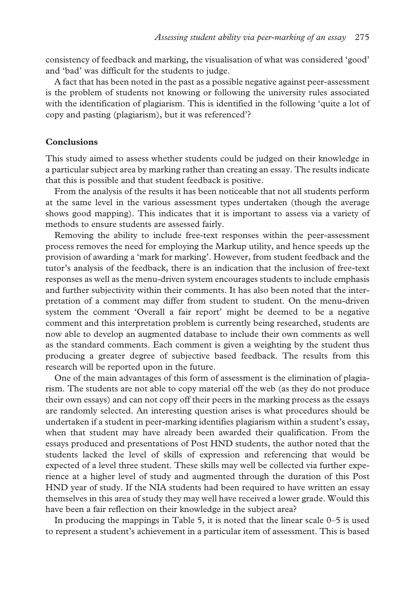consistency of feedback and marking, the visualisation of what was considered 'good' and 'bad' was difficult for the students to judge.

A fact that has been noted in the past as a possible negative against peer-assessment is the problem of students not knowing or following the university rules associated with the identification of plagiarism. This is identified in the following 'quite a lot of copy and pasting (plagiarism), but it was referenced'?

#### **Conclusions**

This study aimed to assess whether students could be judged on their knowledge in a particular subject area by marking rather than creating an essay. The results indicate that this is possible and that student feedback is positive.

From the analysis of the results it has been noticeable that not all students perform at the same level in the various assessment types undertaken (though the average shows good mapping). This indicates that it is important to assess via a variety of methods to ensure students are assessed fairly.

Removing the ability to include free-text responses within the peer-assessment process removes the need for employing the Markup utility, and hence speeds up the provision of awarding a 'mark for marking'. However, from student feedback and the tutor's analysis of the feedback, there is an indication that the inclusion of free-text responses as well as the menu-driven system encourages students to include emphasis and further subjectivity within their comments. It has also been noted that the interpretation of a comment may differ from student to student. On the menu-driven system the comment 'Overall a fair report' might be deemed to be a negative comment and this interpretation problem is currently being researched, students are now able to develop an augmented database to include their own comments as well as the standard comments. Each comment is given a weighting by the student thus producing a greater degree of subjective based feedback. The results from this research will be reported upon in the future.

One of the main advantages of this form of assessment is the elimination of plagiarism. The students are not able to copy material off the web (as they do not produce their own essays) and can not copy off their peers in the marking process as the essays are randomly selected. An interesting question arises is what procedures should be undertaken if a student in peer-marking identifies plagiarism within a student's essay, when that student may have already been awarded their qualification. From the essays produced and presentations of Post HND students, the author noted that the students lacked the level of skills of expression and referencing that would be expected of a level three student. These skills may well be collected via further experience at a higher level of study and augmented through the duration of this Post HND year of study. If the NIA students had been required to have written an essay themselves in this area of study they may well have received a lower grade. Would this have been a fair reflection on their knowledge in the subject area?

In producing the mappings in Table 5, it is noted that the linear scale 0–5 is used to represent a student's achievement in a particular item of assessment. This is based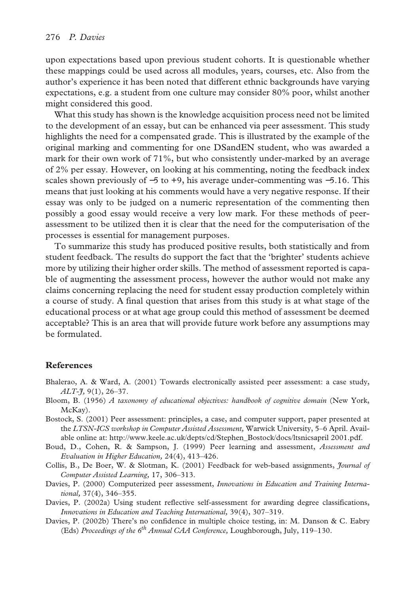upon expectations based upon previous student cohorts. It is questionable whether these mappings could be used across all modules, years, courses, etc. Also from the author's experience it has been noted that different ethnic backgrounds have varying expectations, e.g. a student from one culture may consider 80% poor, whilst another might considered this good.

What this study has shown is the knowledge acquisition process need not be limited to the development of an essay, but can be enhanced via peer assessment. This study highlights the need for a compensated grade. This is illustrated by the example of the original marking and commenting for one DSandEN student, who was awarded a mark for their own work of 71%, but who consistently under-marked by an average of 2% per essay. However, on looking at his commenting, noting the feedback index scales shown previously of −5 to +9, his average under-commenting was −5.16. This means that just looking at his comments would have a very negative response. If their essay was only to be judged on a numeric representation of the commenting then possibly a good essay would receive a very low mark. For these methods of peerassessment to be utilized then it is clear that the need for the computerisation of the processes is essential for management purposes.

To summarize this study has produced positive results, both statistically and from student feedback. The results do support the fact that the 'brighter' students achieve more by utilizing their higher order skills. The method of assessment reported is capable of augmenting the assessment process, however the author would not make any claims concerning replacing the need for student essay production completely within a course of study. A final question that arises from this study is at what stage of the educational process or at what age group could this method of assessment be deemed acceptable? This is an area that will provide future work before any assumptions may be formulated.

# **References**

- Bhalerao, A. & Ward, A. (2001) Towards electronically assisted peer assessment: a case study, *ALT-J,* 9(1), 26–37.
- Bloom, B. (1956) *A taxonomy of educational objectives: handbook of cognitive domain* (New York, McKay).
- Bostock, S. (2001) Peer assessment: principles, a case, and computer support, paper presented at the *LTSN-ICS workshop in Computer Assisted Assessment,* Warwick University, 5–6 April. Available online at: http://www.keele.ac.uk/depts/cd/Stephen\_Bostock/docs/ltsnicsapril 2001.pdf.
- Boud, D., Cohen, R. & Sampson, J. (1999) Peer learning and assessment, *Assessment and Evaluation in Higher Education,* 24(4), 413–426.
- Collis, B., De Boer, W. & Slotman, K. (2001) Feedback for web-based assignments, *Journal of Computer Assisted Learning,* 17, 306–313.
- Davies, P. (2000) Computerized peer assessment, *Innovations in Education and Training International,* 37(4), 346–355.
- Davies, P. (2002a) Using student reflective self-assessment for awarding degree classifications, *Innovations in Education and Teaching International,* 39(4), 307–319.
- Davies, P. (2002b) There's no confidence in multiple choice testing, in: M. Danson & C. Eabry (Eds) *Proceedings of the 6th Annual CAA Conference,* Loughborough, July, 119–130.